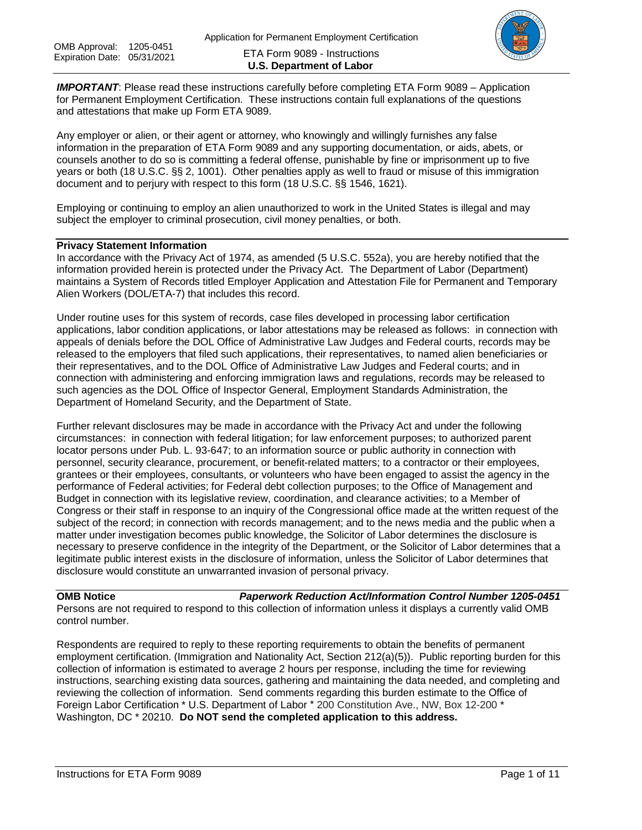

**IMPORTANT:** Please read these instructions carefully before completing ETA Form 9089 – Application for Permanent Employment Certification. These instructions contain full explanations of the questions and attestations that make up Form ETA 9089.

Any employer or alien, or their agent or attorney, who knowingly and willingly furnishes any false information in the preparation of ETA Form 9089 and any supporting documentation, or aids, abets, or counsels another to do so is committing a federal offense, punishable by fine or imprisonment up to five years or both (18 U.S.C. §§ 2, 1001). Other penalties apply as well to fraud or misuse of this immigration document and to perjury with respect to this form (18 U.S.C. §§ 1546, 1621).

Employing or continuing to employ an alien unauthorized to work in the United States is illegal and may subject the employer to criminal prosecution, civil money penalties, or both.

#### **Privacy Statement Information**

In accordance with the Privacy Act of 1974, as amended (5 U.S.C. 552a), you are hereby notified that the information provided herein is protected under the Privacy Act. The Department of Labor (Department) maintains a System of Records titled Employer Application and Attestation File for Permanent and Temporary Alien Workers (DOL/ETA-7) that includes this record.

Under routine uses for this system of records, case files developed in processing labor certification applications, labor condition applications, or labor attestations may be released as follows: in connection with appeals of denials before the DOL Office of Administrative Law Judges and Federal courts, records may be released to the employers that filed such applications, their representatives, to named alien beneficiaries or their representatives, and to the DOL Office of Administrative Law Judges and Federal courts; and in connection with administering and enforcing immigration laws and regulations, records may be released to such agencies as the DOL Office of Inspector General, Employment Standards Administration, the Department of Homeland Security, and the Department of State.

Further relevant disclosures may be made in accordance with the Privacy Act and under the following circumstances: in connection with federal litigation; for law enforcement purposes; to authorized parent locator persons under Pub. L. 93-647; to an information source or public authority in connection with personnel, security clearance, procurement, or benefit-related matters; to a contractor or their employees, grantees or their employees, consultants, or volunteers who have been engaged to assist the agency in the performance of Federal activities; for Federal debt collection purposes; to the Office of Management and Budget in connection with its legislative review, coordination, and clearance activities; to a Member of Congress or their staff in response to an inquiry of the Congressional office made at the written request of the subject of the record; in connection with records management; and to the news media and the public when a matter under investigation becomes public knowledge, the Solicitor of Labor determines the disclosure is necessary to preserve confidence in the integrity of the Department, or the Solicitor of Labor determines that a legitimate public interest exists in the disclosure of information, unless the Solicitor of Labor determines that disclosure would constitute an unwarranted invasion of personal privacy.

**OMB Notice** *Paperwork Reduction Act/Information Control Number 1205-0451*

Persons are not required to respond to this collection of information unless it displays a currently valid OMB control number.

Respondents are required to reply to these reporting requirements to obtain the benefits of permanent employment certification. (Immigration and Nationality Act, Section 212(a)(5)). Public reporting burden for this collection of information is estimated to average 2 hours per response, including the time for reviewing instructions, searching existing data sources, gathering and maintaining the data needed, and completing and reviewing the collection of information. Send comments regarding this burden estimate to the Office of Foreign Labor Certification \* U.S. Department of Labor \* 200 Constitution Ave., NW, Box 12-200 \* Washington, DC \* 20210. **Do NOT send the completed application to this address.**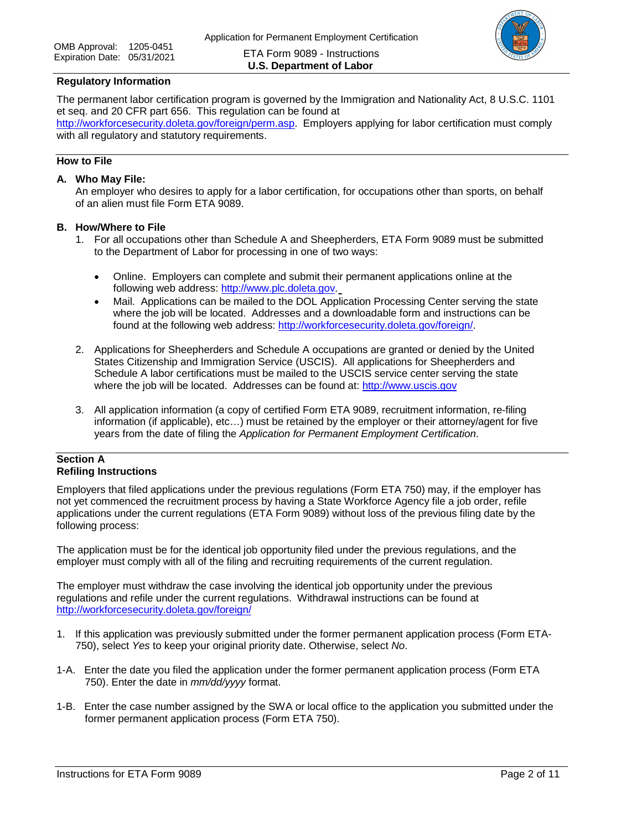

# **Regulatory Information**

The permanent labor certification program is governed by the Immigration and Nationality Act, 8 U.S.C. 1101 et seq. and 20 CFR part 656. This regulation can be found at

[http://workforcesecurity.doleta.gov/foreign/perm.asp.](http://workforcesecurity.doleta.gov/foreign/perm.asp) Employers applying for labor certification must comply with all regulatory and statutory requirements.

# **How to File**

#### **A. Who May File:**

An employer who desires to apply for a labor certification, for occupations other than sports, on behalf of an alien must file Form ETA 9089.

### **B. How/Where to File**

- 1. For all occupations other than Schedule A and Sheepherders, ETA Form 9089 must be submitted to the Department of Labor for processing in one of two ways:
	- Online. Employers can complete and submit their permanent applications online at the following web address: [http://www.plc.doleta.gov.](http://www.plc.doleta.gov/)
	- Mail. Applications can be mailed to the DOL Application Processing Center serving the state where the job will be located. Addresses and a downloadable form and instructions can be found at the following web address: [http://workforcesecurity.doleta.gov/foreign/.](http://workforcesecurity.doleta.gov/foreign/)
- 2. Applications for Sheepherders and Schedule A occupations are granted or denied by the United States Citizenship and Immigration Service (USCIS). All applications for Sheepherders and Schedule A labor certifications must be mailed to the USCIS service center serving the state where the job will be located. Addresses can be found at: [http://www.uscis.gov](http://www.uscis.gov/)
- 3. All application information (a copy of certified Form ETA 9089, recruitment information, re-filing information (if applicable), etc…) must be retained by the employer or their attorney/agent for five years from the date of filing the *Application for Permanent Employment Certification*.

#### **Section A Refiling Instructions**

Employers that filed applications under the previous regulations (Form ETA 750) may, if the employer has not yet commenced the recruitment process by having a State Workforce Agency file a job order, refile applications under the current regulations (ETA Form 9089) without loss of the previous filing date by the following process:

The application must be for the identical job opportunity filed under the previous regulations, and the employer must comply with all of the filing and recruiting requirements of the current regulation.

The employer must withdraw the case involving the identical job opportunity under the previous regulations and refile under the current regulations. Withdrawal instructions can be found at <http://workforcesecurity.doleta.gov/foreign/>

- 1. If this application was previously submitted under the former permanent application process (Form ETA-750), select *Yes* to keep your original priority date. Otherwise, select *No*.
- 1-A. Enter the date you filed the application under the former permanent application process (Form ETA 750). Enter the date in *mm/dd/yyyy* format.
- 1-B. Enter the case number assigned by the SWA or local office to the application you submitted under the former permanent application process (Form ETA 750).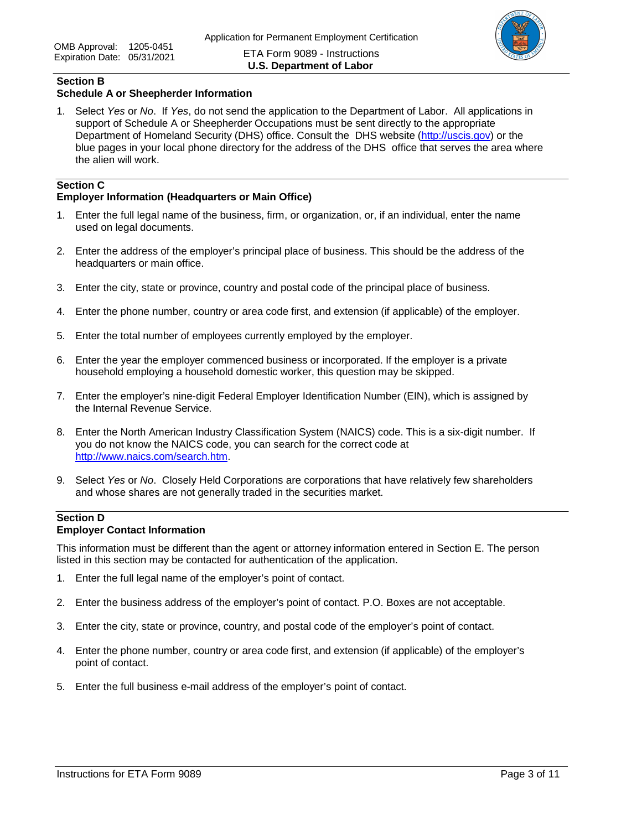

# **Section B**

# **Schedule A or Sheepherder Information**

1. Select *Yes* or *No*. If *Yes*, do not send the application to the Department of Labor. All applications in support of Schedule A or Sheepherder Occupations must be sent directly to the appropriate Department of Homeland Security (DHS) office. Consult the DHS website (http://uscis.gov) or the blue pages in your local phone directory for the address of the DHS office that serves the area where the alien will work.

# **Section C**

### **Employer Information (Headquarters or Main Office)**

- 1. Enter the full legal name of the business, firm, or organization, or, if an individual, enter the name used on legal documents.
- 2. Enter the address of the employer's principal place of business. This should be the address of the headquarters or main office.
- 3. Enter the city, state or province, country and postal code of the principal place of business.
- 4. Enter the phone number, country or area code first, and extension (if applicable) of the employer.
- 5. Enter the total number of employees currently employed by the employer.
- 6. Enter the year the employer commenced business or incorporated. If the employer is a private household employing a household domestic worker, this question may be skipped.
- 7. Enter the employer's nine-digit Federal Employer Identification Number (EIN), which is assigned by the Internal Revenue Service.
- 8. Enter the North American Industry Classification System (NAICS) code. This is a six-digit number. If you do not know the NAICS code, you can search for the correct code at [http://www.naics.com/search.htm.](http://www.naics.com/search.htm)
- 9. Select *Yes* or *No*. Closely Held Corporations are corporations that have relatively few shareholders and whose shares are not generally traded in the securities market.

#### **Section D Employer Contact Information**

This information must be different than the agent or attorney information entered in Section E. The person listed in this section may be contacted for authentication of the application.

- 1. Enter the full legal name of the employer's point of contact.
- 2. Enter the business address of the employer's point of contact. P.O. Boxes are not acceptable.
- 3. Enter the city, state or province, country, and postal code of the employer's point of contact.
- 4. Enter the phone number, country or area code first, and extension (if applicable) of the employer's point of contact.
- 5. Enter the full business e-mail address of the employer's point of contact.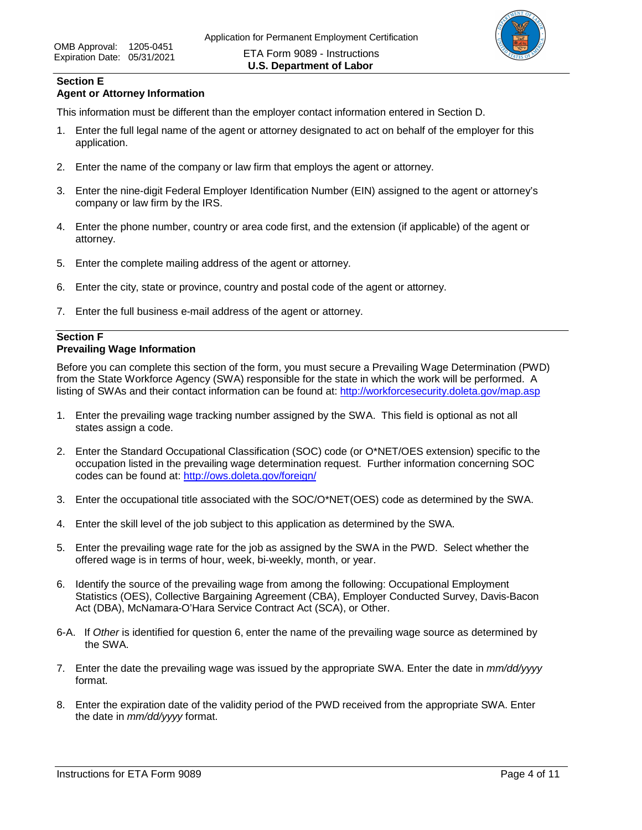

#### **Section E Agent or Attorney Information**

This information must be different than the employer contact information entered in Section D.

- 1. Enter the full legal name of the agent or attorney designated to act on behalf of the employer for this application.
- 2. Enter the name of the company or law firm that employs the agent or attorney.
- 3. Enter the nine-digit Federal Employer Identification Number (EIN) assigned to the agent or attorney's company or law firm by the IRS.
- 4. Enter the phone number, country or area code first, and the extension (if applicable) of the agent or attorney.
- 5. Enter the complete mailing address of the agent or attorney.
- 6. Enter the city, state or province, country and postal code of the agent or attorney.
- 7. Enter the full business e-mail address of the agent or attorney.

# **Section F**

### **Prevailing Wage Information**

Before you can complete this section of the form, you must secure a Prevailing Wage Determination (PWD) from the State Workforce Agency (SWA) responsible for the state in which the work will be performed. A listing of SWAs and their contact information can be found at: <http://workforcesecurity.doleta.gov/map.asp>

- 1. Enter the prevailing wage tracking number assigned by the SWA. This field is optional as not all states assign a code.
- 2. Enter the Standard Occupational Classification (SOC) code (or O\*NET/OES extension) specific to the occupation listed in the prevailing wage determination request. Further information concerning SOC codes can be found at: <http://ows.doleta.gov/foreign/>
- 3. Enter the occupational title associated with the SOC/O\*NET(OES) code as determined by the SWA.
- 4. Enter the skill level of the job subject to this application as determined by the SWA.
- 5. Enter the prevailing wage rate for the job as assigned by the SWA in the PWD. Select whether the offered wage is in terms of hour, week, bi-weekly, month, or year.
- 6. Identify the source of the prevailing wage from among the following: Occupational Employment Statistics (OES), Collective Bargaining Agreement (CBA), Employer Conducted Survey, Davis-Bacon Act (DBA), McNamara-O'Hara Service Contract Act (SCA), or Other.
- 6-A. If *Other* is identified for question 6, enter the name of the prevailing wage source as determined by the SWA.
- 7. Enter the date the prevailing wage was issued by the appropriate SWA. Enter the date in *mm/dd/yyyy* format.
- 8. Enter the expiration date of the validity period of the PWD received from the appropriate SWA. Enter the date in *mm/dd/yyyy* format.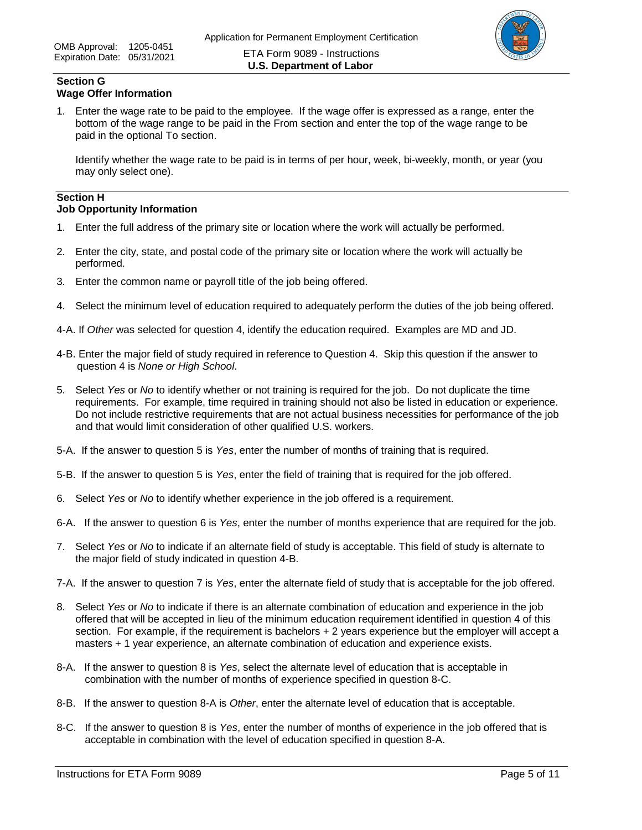

# **Section G Wage Offer Information**

1. Enter the wage rate to be paid to the employee. If the wage offer is expressed as a range, enter the bottom of the wage range to be paid in the From section and enter the top of the wage range to be paid in the optional To section.

Identify whether the wage rate to be paid is in terms of per hour, week, bi-weekly, month, or year (you may only select one).

#### **Section H Job Opportunity Information**

- 1. Enter the full address of the primary site or location where the work will actually be performed.
- 2. Enter the city, state, and postal code of the primary site or location where the work will actually be performed.
- 3. Enter the common name or payroll title of the job being offered.
- 4. Select the minimum level of education required to adequately perform the duties of the job being offered.
- 4-A. If *Other* was selected for question 4, identify the education required. Examples are MD and JD.
- 4-B. Enter the major field of study required in reference to Question 4. Skip this question if the answer to question 4 is *None or High School*.
- 5. Select *Yes* or *No* to identify whether or not training is required for the job. Do not duplicate the time requirements. For example, time required in training should not also be listed in education or experience. Do not include restrictive requirements that are not actual business necessities for performance of the job and that would limit consideration of other qualified U.S. workers.
- 5-A. If the answer to question 5 is *Yes*, enter the number of months of training that is required.
- 5-B. If the answer to question 5 is *Yes*, enter the field of training that is required for the job offered.
- 6. Select *Yes* or *No* to identify whether experience in the job offered is a requirement.
- 6-A. If the answer to question 6 is *Yes*, enter the number of months experience that are required for the job.
- 7. Select *Yes* or *No* to indicate if an alternate field of study is acceptable. This field of study is alternate to the major field of study indicated in question 4-B.
- 7-A. If the answer to question 7 is *Yes*, enter the alternate field of study that is acceptable for the job offered.
- 8. Select *Yes* or *No* to indicate if there is an alternate combination of education and experience in the job offered that will be accepted in lieu of the minimum education requirement identified in question 4 of this section. For example, if the requirement is bachelors + 2 years experience but the employer will accept a masters + 1 year experience, an alternate combination of education and experience exists.
- 8-A. If the answer to question 8 is *Yes*, select the alternate level of education that is acceptable in combination with the number of months of experience specified in question 8-C.
- 8-B. If the answer to question 8-A is *Other*, enter the alternate level of education that is acceptable.
- 8-C. If the answer to question 8 is *Yes*, enter the number of months of experience in the job offered that is acceptable in combination with the level of education specified in question 8-A.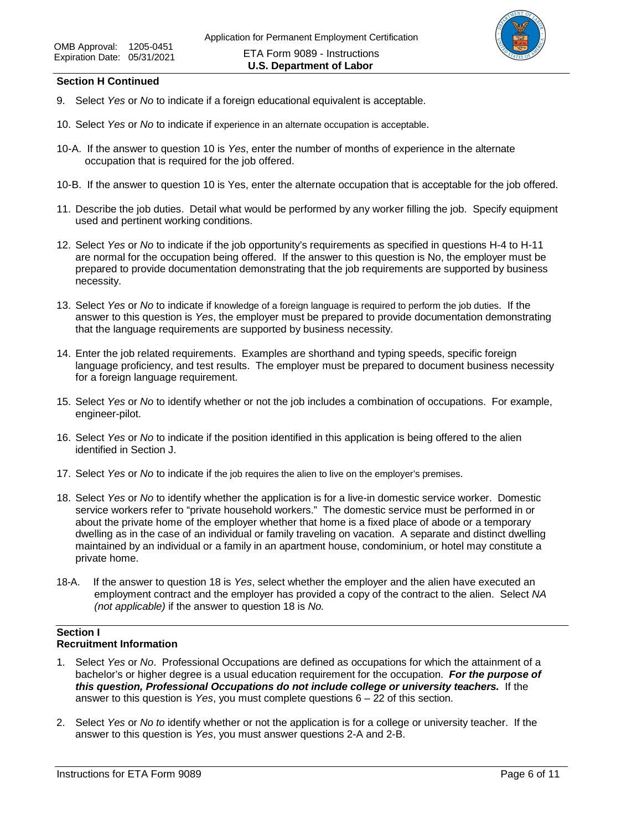

#### **Section H Continued**

- 9. Select *Yes* or *No* to indicate if a foreign educational equivalent is acceptable.
- 10. Select *Yes* or *No* to indicate if experience in an alternate occupation is acceptable.
- 10-A. If the answer to question 10 is *Yes*, enter the number of months of experience in the alternate occupation that is required for the job offered.
- 10-B. If the answer to question 10 is Yes, enter the alternate occupation that is acceptable for the job offered.
- 11. Describe the job duties. Detail what would be performed by any worker filling the job. Specify equipment used and pertinent working conditions.
- 12. Select *Yes* or *No* to indicate if the job opportunity's requirements as specified in questions H-4 to H-11 are normal for the occupation being offered. If the answer to this question is No, the employer must be prepared to provide documentation demonstrating that the job requirements are supported by business necessity.
- 13. Select *Yes* or *No* to indicate if knowledge of a foreign language is required to perform the job duties. If the answer to this question is *Yes*, the employer must be prepared to provide documentation demonstrating that the language requirements are supported by business necessity.
- 14. Enter the job related requirements. Examples are shorthand and typing speeds, specific foreign language proficiency, and test results. The employer must be prepared to document business necessity for a foreign language requirement.
- 15. Select *Yes* or *No* to identify whether or not the job includes a combination of occupations. For example, engineer-pilot.
- 16. Select *Yes* or *No* to indicate if the position identified in this application is being offered to the alien identified in Section J.
- 17. Select *Yes* or *No* to indicate if the job requires the alien to live on the employer's premises.
- 18. Select *Yes* or *No* to identify whether the application is for a live-in domestic service worker. Domestic service workers refer to "private household workers." The domestic service must be performed in or about the private home of the employer whether that home is a fixed place of abode or a temporary dwelling as in the case of an individual or family traveling on vacation. A separate and distinct dwelling maintained by an individual or a family in an apartment house, condominium, or hotel may constitute a private home.
- 18-A. If the answer to question 18 is *Yes*, select whether the employer and the alien have executed an employment contract and the employer has provided a copy of the contract to the alien. Select *NA (not applicable)* if the answer to question 18 is *No.*

#### **Section I Recruitment Information**

- 1. Select *Yes* or *No*. Professional Occupations are defined as occupations for which the attainment of a bachelor's or higher degree is a usual education requirement for the occupation. *For the purpose of this question, Professional Occupations do not include college or university teachers.* If the answer to this question is *Yes*, you must complete questions 6 – 22 of this section.
- 2. Select *Yes* or *No to* identify whether or not the application is for a college or university teacher. If the answer to this question is *Yes*, you must answer questions 2-A and 2-B.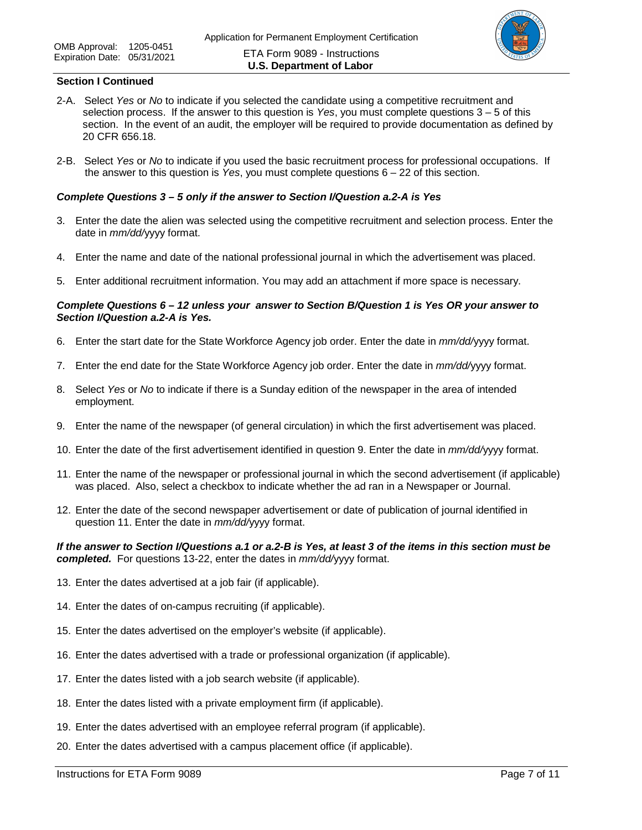

### **Section I Continued**

- 2-A. Select *Yes* or *No* to indicate if you selected the candidate using a competitive recruitment and selection process. If the answer to this question is *Yes*, you must complete questions 3 – 5 of this section. In the event of an audit, the employer will be required to provide documentation as defined by 20 CFR 656.18.
- 2-B. Select *Yes* or *No* to indicate if you used the basic recruitment process for professional occupations. If the answer to this question is *Yes*, you must complete questions 6 – 22 of this section.

### *Complete Questions 3 – 5 only if the answer to Section I/Question a.2-A is Yes*

- 3. Enter the date the alien was selected using the competitive recruitment and selection process. Enter the date in *mm/dd/*yyyy format.
- 4. Enter the name and date of the national professional journal in which the advertisement was placed.
- 5. Enter additional recruitment information. You may add an attachment if more space is necessary.

#### *Complete Questions 6 – 12 unless your answer to Section B/Question 1 is Yes OR your answer to Section I/Question a.2-A is Yes.*

- 6. Enter the start date for the State Workforce Agency job order. Enter the date in *mm/dd/*yyyy format.
- 7. Enter the end date for the State Workforce Agency job order. Enter the date in *mm/dd/*yyyy format.
- 8. Select *Yes* or *No* to indicate if there is a Sunday edition of the newspaper in the area of intended employment.
- 9. Enter the name of the newspaper (of general circulation) in which the first advertisement was placed.
- 10. Enter the date of the first advertisement identified in question 9. Enter the date in *mm/dd/*yyyy format.
- 11. Enter the name of the newspaper or professional journal in which the second advertisement (if applicable) was placed. Also, select a checkbox to indicate whether the ad ran in a Newspaper or Journal.
- 12. Enter the date of the second newspaper advertisement or date of publication of journal identified in question 11. Enter the date in *mm/dd/*yyyy format.

*If the answer to Section I/Questions a.1 or a.2-B is Yes, at least 3 of the items in this section must be completed.* For questions 13-22, enter the dates in *mm/dd/*yyyy format.

- 13. Enter the dates advertised at a job fair (if applicable).
- 14. Enter the dates of on-campus recruiting (if applicable).
- 15. Enter the dates advertised on the employer's website (if applicable).
- 16. Enter the dates advertised with a trade or professional organization (if applicable).
- 17. Enter the dates listed with a job search website (if applicable).
- 18. Enter the dates listed with a private employment firm (if applicable).
- 19. Enter the dates advertised with an employee referral program (if applicable).
- 20. Enter the dates advertised with a campus placement office (if applicable).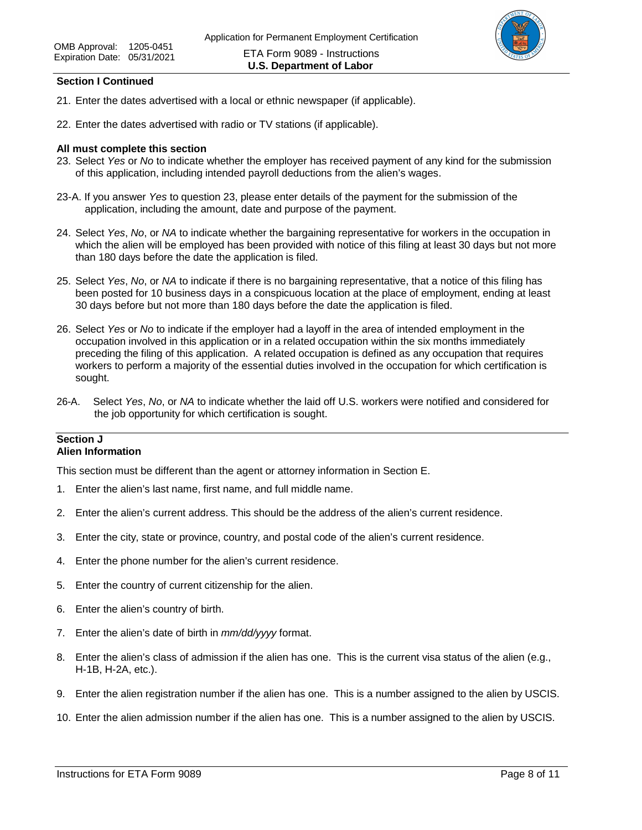

### **Section I Continued**

- 21. Enter the dates advertised with a local or ethnic newspaper (if applicable).
- 22. Enter the dates advertised with radio or TV stations (if applicable).

#### **All must complete this section**

- 23. Select *Yes* or *No* to indicate whether the employer has received payment of any kind for the submission of this application, including intended payroll deductions from the alien's wages.
- 23-A. If you answer *Yes* to question 23, please enter details of the payment for the submission of the application, including the amount, date and purpose of the payment.
- 24. Select *Yes*, *No*, or *NA* to indicate whether the bargaining representative for workers in the occupation in which the alien will be employed has been provided with notice of this filing at least 30 days but not more than 180 days before the date the application is filed.
- 25. Select *Yes*, *No*, or *NA* to indicate if there is no bargaining representative, that a notice of this filing has been posted for 10 business days in a conspicuous location at the place of employment, ending at least 30 days before but not more than 180 days before the date the application is filed.
- 26. Select *Yes* or *No* to indicate if the employer had a layoff in the area of intended employment in the occupation involved in this application or in a related occupation within the six months immediately preceding the filing of this application. A related occupation is defined as any occupation that requires workers to perform a majority of the essential duties involved in the occupation for which certification is sought.
- 26-A. Select *Yes*, *No*, or *NA* to indicate whether the laid off U.S. workers were notified and considered for the job opportunity for which certification is sought.

#### **Section J Alien Information**

This section must be different than the agent or attorney information in Section E.

- 1. Enter the alien's last name, first name, and full middle name.
- 2. Enter the alien's current address. This should be the address of the alien's current residence.
- 3. Enter the city, state or province, country, and postal code of the alien's current residence.
- 4. Enter the phone number for the alien's current residence.
- 5. Enter the country of current citizenship for the alien.
- 6. Enter the alien's country of birth.
- 7. Enter the alien's date of birth in *mm/dd/yyyy* format.
- 8. Enter the alien's class of admission if the alien has one. This is the current visa status of the alien (e.g., H-1B, H-2A, etc.).
- 9. Enter the alien registration number if the alien has one. This is a number assigned to the alien by USCIS.
- 10. Enter the alien admission number if the alien has one. This is a number assigned to the alien by USCIS.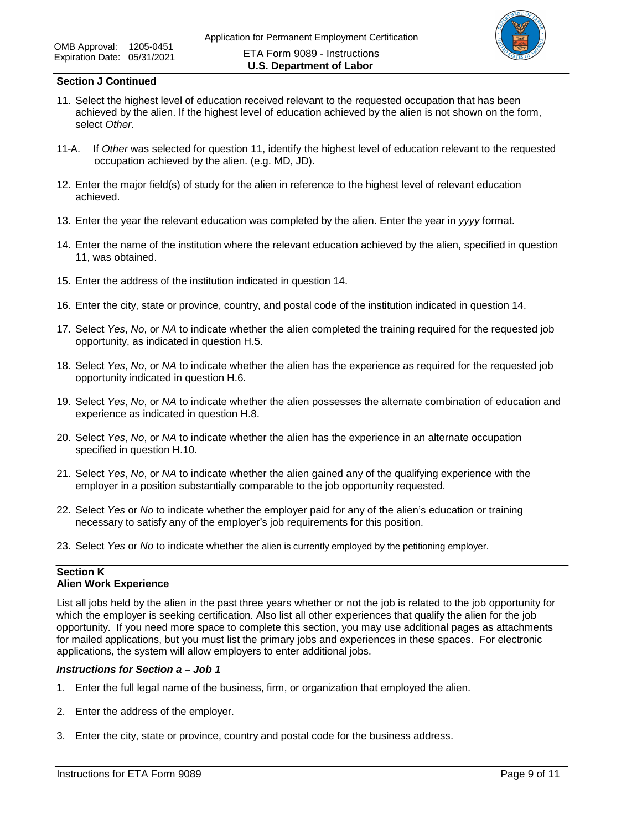

#### **Section J Continued**

- 11. Select the highest level of education received relevant to the requested occupation that has been achieved by the alien. If the highest level of education achieved by the alien is not shown on the form, select *Other*.
- 11-A. If *Other* was selected for question 11, identify the highest level of education relevant to the requested occupation achieved by the alien. (e.g. MD, JD).
- 12. Enter the major field(s) of study for the alien in reference to the highest level of relevant education achieved.
- 13. Enter the year the relevant education was completed by the alien. Enter the year in *yyyy* format.
- 14. Enter the name of the institution where the relevant education achieved by the alien, specified in question 11, was obtained.
- 15. Enter the address of the institution indicated in question 14.
- 16. Enter the city, state or province, country, and postal code of the institution indicated in question 14.
- 17. Select *Yes*, *No*, or *NA* to indicate whether the alien completed the training required for the requested job opportunity, as indicated in question H.5.
- 18. Select *Yes*, *No*, or *NA* to indicate whether the alien has the experience as required for the requested job opportunity indicated in question H.6.
- 19. Select *Yes*, *No*, or *NA* to indicate whether the alien possesses the alternate combination of education and experience as indicated in question H.8.
- 20. Select *Yes*, *No*, or *NA* to indicate whether the alien has the experience in an alternate occupation specified in question H.10.
- 21. Select *Yes*, *No*, or *NA* to indicate whether the alien gained any of the qualifying experience with the employer in a position substantially comparable to the job opportunity requested.
- 22. Select *Yes* or *No* to indicate whether the employer paid for any of the alien's education or training necessary to satisfy any of the employer's job requirements for this position.
- 23. Select *Yes* or *No* to indicate whether the alien is currently employed by the petitioning employer.

#### **Section K Alien Work Experience**

List all jobs held by the alien in the past three years whether or not the job is related to the job opportunity for which the employer is seeking certification. Also list all other experiences that qualify the alien for the job opportunity. If you need more space to complete this section, you may use additional pages as attachments for mailed applications, but you must list the primary jobs and experiences in these spaces. For electronic applications, the system will allow employers to enter additional jobs.

#### *Instructions for Section a – Job 1*

- 1. Enter the full legal name of the business, firm, or organization that employed the alien.
- 2. Enter the address of the employer.
- 3. Enter the city, state or province, country and postal code for the business address.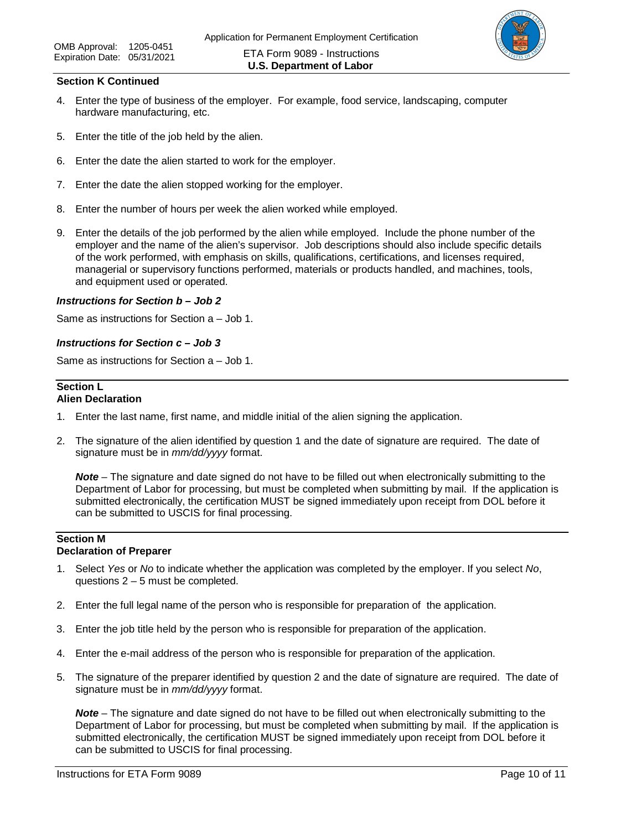

#### **Section K Continued**

- 4. Enter the type of business of the employer. For example, food service, landscaping, computer hardware manufacturing, etc.
- 5. Enter the title of the job held by the alien.
- 6. Enter the date the alien started to work for the employer.
- 7. Enter the date the alien stopped working for the employer.
- 8. Enter the number of hours per week the alien worked while employed.
- 9. Enter the details of the job performed by the alien while employed. Include the phone number of the employer and the name of the alien's supervisor. Job descriptions should also include specific details of the work performed, with emphasis on skills, qualifications, certifications, and licenses required, managerial or supervisory functions performed, materials or products handled, and machines, tools, and equipment used or operated.

#### *Instructions for Section b – Job 2*

Same as instructions for Section a – Job 1.

#### *Instructions for Section c – Job 3*

Same as instructions for Section a – Job 1.

#### **Section L Alien Declaration**

- 1. Enter the last name, first name, and middle initial of the alien signing the application.
- 2. The signature of the alien identified by question 1 and the date of signature are required. The date of signature must be in *mm/dd/yyyy* format.

*Note* – The signature and date signed do not have to be filled out when electronically submitting to the Department of Labor for processing, but must be completed when submitting by mail. If the application is submitted electronically, the certification MUST be signed immediately upon receipt from DOL before it can be submitted to USCIS for final processing.

#### **Section M Declaration of Preparer**

- 
- 1. Select *Yes* or *No* to indicate whether the application was completed by the employer. If you select *No*, questions  $2 - 5$  must be completed.
- 2. Enter the full legal name of the person who is responsible for preparation of the application.
- 3. Enter the job title held by the person who is responsible for preparation of the application.
- 4. Enter the e-mail address of the person who is responsible for preparation of the application.
- 5. The signature of the preparer identified by question 2 and the date of signature are required. The date of signature must be in *mm/dd/yyyy* format.

**Note** – The signature and date signed do not have to be filled out when electronically submitting to the Department of Labor for processing, but must be completed when submitting by mail. If the application is submitted electronically, the certification MUST be signed immediately upon receipt from DOL before it can be submitted to USCIS for final processing.